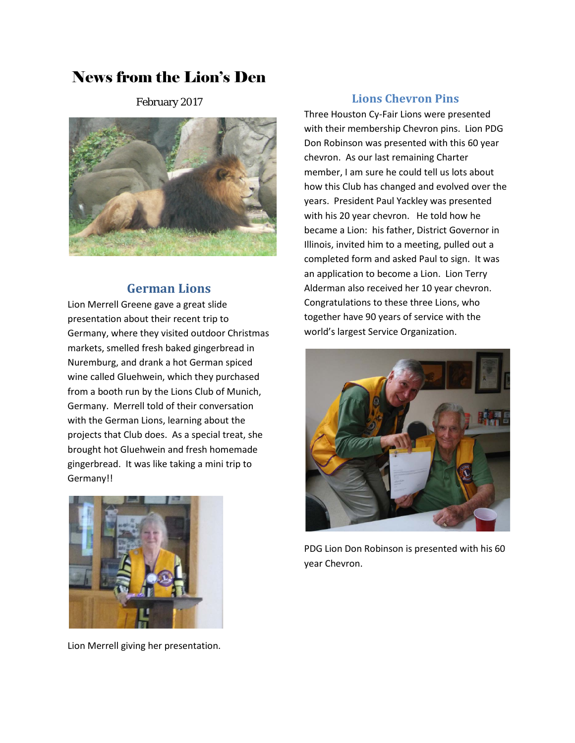# News from the Lion's Den

February 2017



### **German Lions**

Lion Merrell Greene gave a great slide presentation about their recent trip to Germany, where they visited outdoor Christmas markets, smelled fresh baked gingerbread in Nuremburg, and drank a hot German spiced wine called Gluehwein, which they purchased from a booth run by the Lions Club of Munich, Germany. Merrell told of their conversation with the German Lions, learning about the projects that Club does. As a special treat, she brought hot Gluehwein and fresh homemade gingerbread. It was like taking a mini trip to Germany!!



Lion Merrell giving her presentation.

### **Lions Chevron Pins**

Three Houston Cy-Fair Lions were presented with their membership Chevron pins. Lion PDG Don Robinson was presented with this 60 year chevron. As our last remaining Charter member, I am sure he could tell us lots about how this Club has changed and evolved over the years. President Paul Yackley was presented with his 20 year chevron. He told how he became a Lion: his father, District Governor in Illinois, invited him to a meeting, pulled out a completed form and asked Paul to sign. It was an application to become a Lion. Lion Terry Alderman also received her 10 year chevron. Congratulations to these three Lions, who together have 90 years of service with the world's largest Service Organization.



PDG Lion Don Robinson is presented with his 60 year Chevron.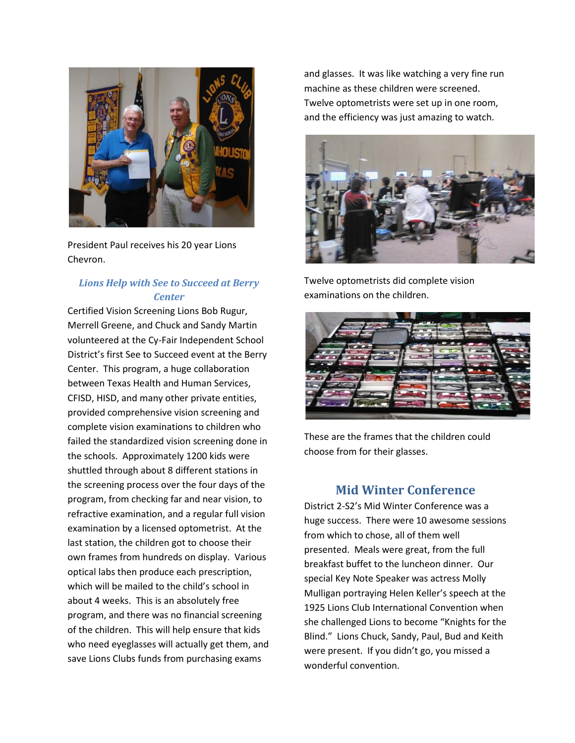

President Paul receives his 20 year Lions Chevron.

### *Lions Help with See to Succeed at Berry Center*

Certified Vision Screening Lions Bob Rugur, Merrell Greene, and Chuck and Sandy Martin volunteered at the Cy-Fair Independent School District's first See to Succeed event at the Berry Center. This program, a huge collaboration between Texas Health and Human Services, CFISD, HISD, and many other private entities, provided comprehensive vision screening and complete vision examinations to children who failed the standardized vision screening done in the schools. Approximately 1200 kids were shuttled through about 8 different stations in the screening process over the four days of the program, from checking far and near vision, to refractive examination, and a regular full vision examination by a licensed optometrist. At the last station, the children got to choose their own frames from hundreds on display. Various optical labs then produce each prescription, which will be mailed to the child's school in about 4 weeks. This is an absolutely free program, and there was no financial screening of the children. This will help ensure that kids who need eyeglasses will actually get them, and save Lions Clubs funds from purchasing exams

and glasses. It was like watching a very fine run machine as these children were screened. Twelve optometrists were set up in one room, and the efficiency was just amazing to watch.



Twelve optometrists did complete vision examinations on the children.



These are the frames that the children could choose from for their glasses.

### **Mid Winter Conference**

District 2-S2's Mid Winter Conference was a huge success. There were 10 awesome sessions from which to chose, all of them well presented. Meals were great, from the full breakfast buffet to the luncheon dinner. Our special Key Note Speaker was actress Molly Mulligan portraying Helen Keller's speech at the 1925 Lions Club International Convention when she challenged Lions to become "Knights for the Blind." Lions Chuck, Sandy, Paul, Bud and Keith were present. If you didn't go, you missed a wonderful convention.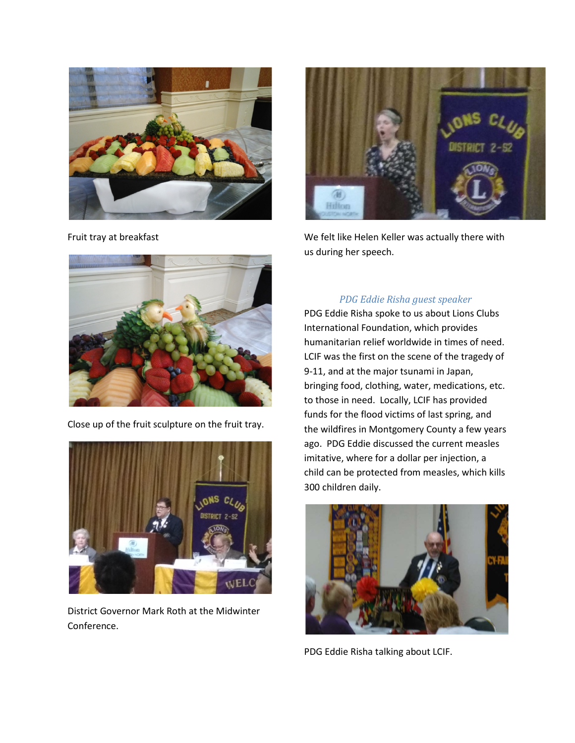

Fruit tray at breakfast



We felt like Helen Keller was actually there with us during her speech.



PDG Eddie Risha spoke to us about Lions Clubs International Foundation, which provides humanitarian relief worldwide in times of need. LCIF was the first on the scene of the tragedy of 9-11, and at the major tsunami in Japan, bringing food, clothing, water, medications, etc. to those in need. Locally, LCIF has provided funds for the flood victims of last spring, and the wildfires in Montgomery County a few years ago. PDG Eddie discussed the current measles imitative, where for a dollar per injection, a child can be protected from measles, which kills 300 children daily.



PDG Eddie Risha talking about LCIF.



Close up of the fruit sculpture on the fruit tray.



District Governor Mark Roth at the Midwinter Conference.